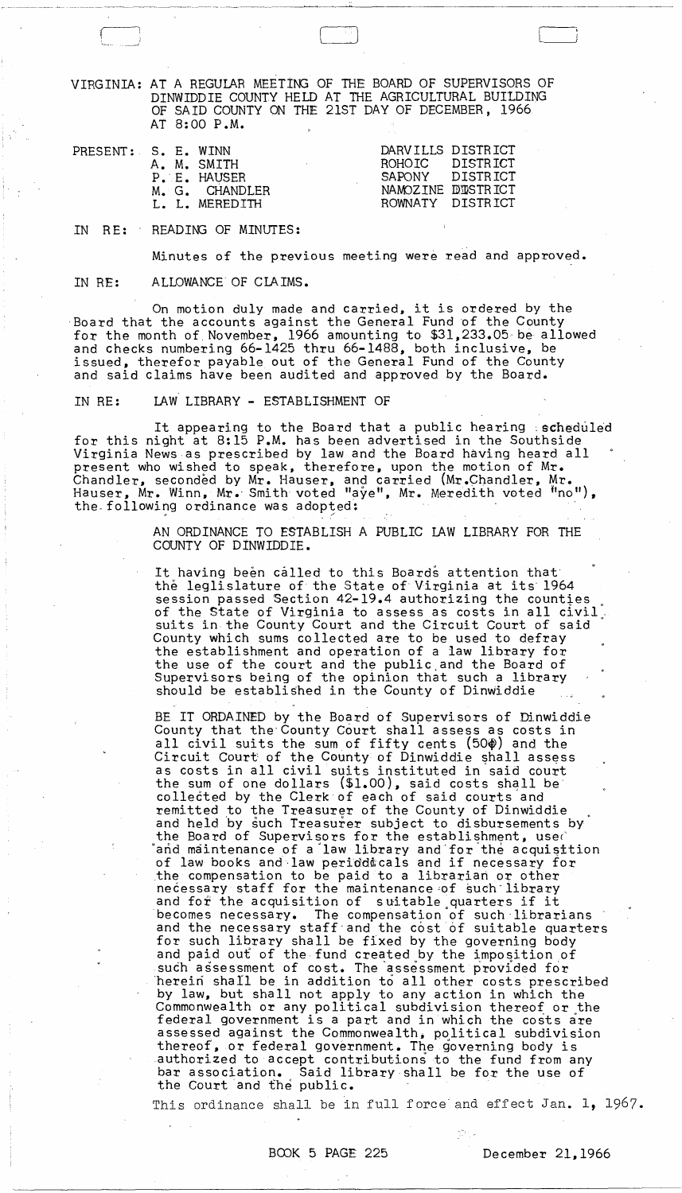VIRGINIA: AT A REGULAR MEETING OF THE BOARD OF SUPERVISORS OF DINWIDDIE COUNTY HELD AT THE AGRICULTURAL BUILDING OF SAID COUNTY ON THE 21ST DAY OF DECEMBER, 1966 AT 8: 00 P.M.

| PRESENT: S. E. WINN<br>A. M. SMITH<br>P. E. HAUSER<br>M. G. CHANDLER<br>L. L. MEREDITH | DARVILLS DISTRICT<br>ROHOTC DISTRICT<br>SAPONY DISTRICT<br>NAMOZINE DUSTRICT<br>ROWNATY DISTRICT |  |
|----------------------------------------------------------------------------------------|--------------------------------------------------------------------------------------------------|--|
|----------------------------------------------------------------------------------------|--------------------------------------------------------------------------------------------------|--|

IN RE: READING OF MINUTES:

Minutes of the previous meeting were read and approved.

IN RE: ALLOWANCE OF CLAIMS.

On motion duly made and carried, it is ordered by the Board that the accounts against the General Fund of the County for the month of November, 1966 amounting to \$31,233.05, be allowed and checks numbering 66-1425 thru 66-1488, both inclusive, be issued, therefor payable out of the General Fund of the County and said claims have been audited and approved by the Board.

IN RE: LAW LIBRARY - ESTABLISHMENT OF

It appearing to the Board that a public hearing  $:$  scheduled for this night at 8:15 P.M. has been advertised in the Southside Virginia News as prescribed by law and the Board having heard all present who wished to speak, therefore, upon the motion of Mr. Chandler, seconded by Mr. Hauser, and carried (Mr.Chandler, Mr. Hauser, Mr. Winn, Mr. Smith voted "aye", Mr. Meredith voted "no"), the- following ordinance was adopted: ' " "

> AN ORDINANCE TO ESTABLISH A PUBLIC LAW LIBRARY FOR THE COUNTY OF DINWIDDIE.

It having been called to this Boards attention that the leglislature of the State of Virginia at its 1964 session passed Section 42-19.4 authorizing the counties of the State of Virginia to assess as costs in all civil.<br>suits in the County Court and the Circuit Court of said County which sums collected are to be used to defray the establishment and operation of a law library for the use of the court and the public,and the Board of Supervisors being of the opinion that such a library should be established in the County of Dinwiddie

BE IT ORDAINED by the Board of Supervisors of Dinwiddie County that the'County Court shall assess as costs in all civil suits the sum of fifty cents  $(50<sup>\phi</sup>)$  and the Circuit Court of the County of Dinwiddie shall assess as costs in all civil suits instituted in said court the sum of one dollars (\$1.00), said costs shall be' collected by the Clerk of each of said courts and remitted to the Treasurer of the County of Dinwiddie and held by such Treasurer subject to disbursements by the Board of Supervisors for the establishment, use and maintenance of a law library and for the acquisttion of law books and law peridd cals and if necessary for .the compensation to be paid to a librarian or other necessary staff for the maintenance of such library and for the acquisition of suitable quarters if it<br>becomes necessary. The compensation of such librar The compensation of such librarians and the necessary staff and the cost of suitable quarters for such library shall be fixed by the governing body and paid out of the fund created by the imposition of such assessment of cost. The assessment provided for 'herein shall be in addition to all other costs prescribed by law, but shall not apply to any action in which the Commonwealth or any political subdivision thereof or the federal government is a part and in which the costs are assessed against the Commonwealth, political subdivision thereof, or federal government. The governing body is authorized to accept contributions to the fund from any bar association. Said library shall be for the use of the Court and fhe public.

This ordinance shall be in full force and effect Jan. 1, 1967.

 $\sum_{i=1}^n V_{i,i}$ 

**Allen Street**